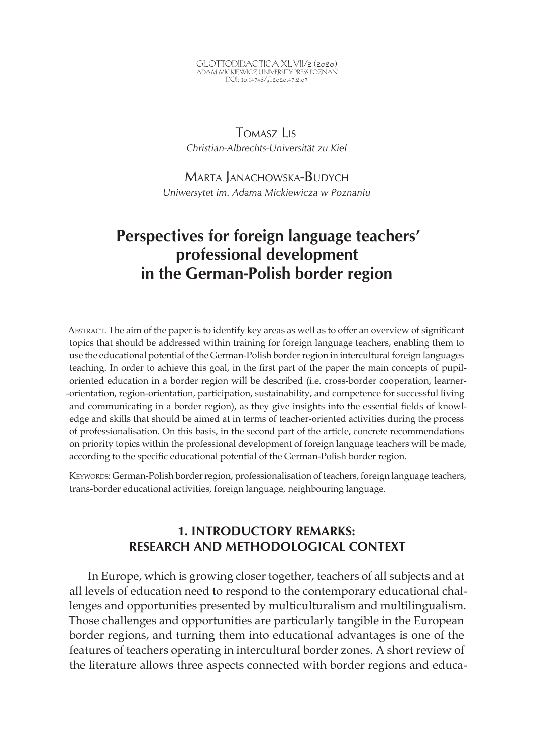GLOTTODIDACTICA XLVII/2 (2020) ADAM MICKIEWICZ UNIVERSITY PRESS POZNAN<br>DOI: 10.14746/<sub>8</sub>l.2020.47.2.07

## Tomasz Lis *Christian-Albrechts-Universität zu Kiel*

Marta Janachowska-Budych *Uniwersytet im. Adama Mickiewicza w Poznaniu*

# **Perspectives for foreign language teachers' professional development in the German-Polish border region**

Abstract. The aim of the paper is to identify key areas as well as to offer an overview of significant topics that should be addressed within training for foreign language teachers, enabling them to use the educational potential of the German-Polish border region in intercultural foreign languages teaching. In order to achieve this goal, in the first part of the paper the main concepts of pupiloriented education in a border region will be described (i.e. cross-border cooperation, learner- -orientation, region-orientation, participation, sustainability, and competence for successful living and communicating in a border region), as they give insights into the essential fields of knowledge and skills that should be aimed at in terms of teacher-oriented activities during the process of professionalisation. On this basis, in the second part of the article, concrete recommendations on priority topics within the professional development of foreign language teachers will be made, according to the specific educational potential of the German-Polish border region.

Keywords: German-Polish border region, professionalisation of teachers, foreign language teachers, trans-border educational activities, foreign language, neighbouring language.

### **1. INTRODUCTORY REMARKS: RESEARCH AND METHODOLOGICAL CONTEXT**

In Europe, which is growing closer together, teachers of all subjects and at all levels of education need to respond to the contemporary educational challenges and opportunities presented by multiculturalism and multilingualism. Those challenges and opportunities are particularly tangible in the European border regions, and turning them into educational advantages is one of the features of teachers operating in intercultural border zones. A short review of the literature allows three aspects connected with border regions and educa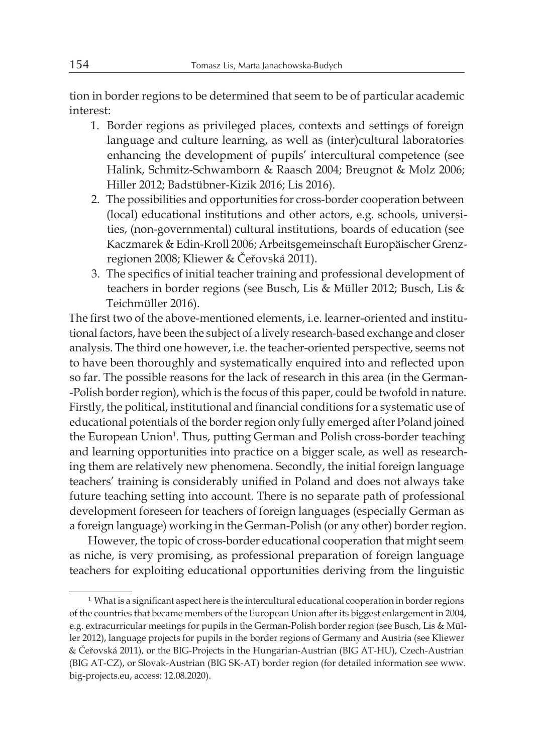tion in border regions to be determined that seem to be of particular academic interest:

- 1. Border regions as privileged places, contexts and settings of foreign language and culture learning, as well as (inter)cultural laboratories enhancing the development of pupils' intercultural competence (see Halink, Schmitz-Schwamborn & Raasch 2004; Breugnot & Molz 2006; Hiller 2012; Badstübner-Kizik 2016; Lis 2016).
- 2. The possibilities and opportunities for cross-border cooperation between (local) educational institutions and other actors, e.g. schools, universities, (non-governmental) cultural institutions, boards of education (see Kaczmarek & Edin-Kroll 2006; Arbeitsgemeinschaft Europäischer Grenzregionen 2008; Kliewer & Čeřovská 2011).
- 3. The specifics of initial teacher training and professional development of teachers in border regions (see Busch, Lis & Müller 2012; Busch, Lis & Teichmüller 2016).

The first two of the above-mentioned elements, i.e. learner-oriented and institutional factors, have been the subject of a lively research-based exchange and closer analysis. The third one however, i.e. the teacher-oriented perspective, seems not to have been thoroughly and systematically enquired into and reflected upon so far. The possible reasons for the lack of research in this area (in the German- -Polish border region), which is the focus of this paper, could be twofold in nature. Firstly, the political, institutional and financial conditions for a systematic use of educational potentials of the border region only fully emerged after Poland joined the European Union<sup>1</sup>. Thus, putting German and Polish cross-border teaching and learning opportunities into practice on a bigger scale, as well as researching them are relatively new phenomena. Secondly, the initial foreign language teachers' training is considerably unified in Poland and does not always take future teaching setting into account. There is no separate path of professional development foreseen for teachers of foreign languages (especially German as a foreign language) working in the German-Polish (or any other) border region.

However, the topic of cross-border educational cooperation that might seem as niche, is very promising, as professional preparation of foreign language teachers for exploiting educational opportunities deriving from the linguistic

<sup>&</sup>lt;sup>1</sup> What is a significant aspect here is the intercultural educational cooperation in border regions of the countries that became members of the European Union after its biggest enlargement in 2004, e.g. extracurricular meetings for pupils in the German-Polish border region (see Busch, Lis & Müller 2012), language projects for pupils in the border regions of Germany and Austria (see Kliewer & Čeřovská 2011), or the BIG-Projects in the Hungarian-Austrian (BIG AT-HU), Czech-Austrian (BIG AT-CZ), or Slovak-Austrian (BIG SK-AT) border region (for detailed information see www. big-projects.eu, access: 12.08.2020).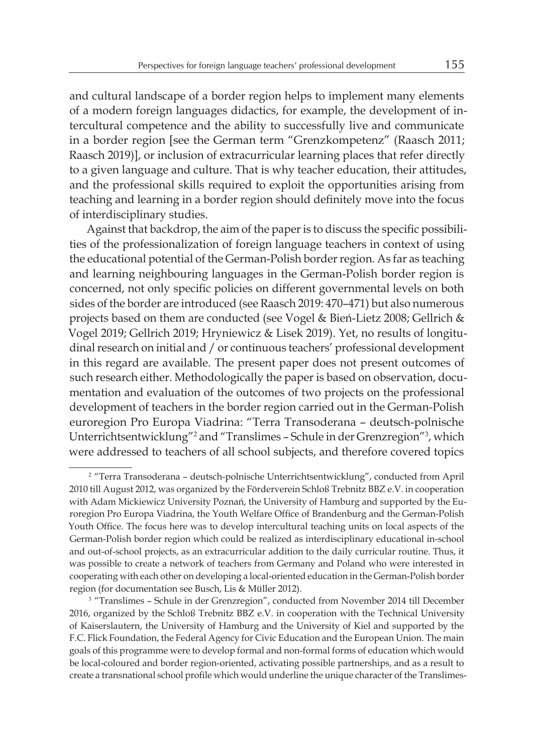and cultural landscape of a border region helps to implement many elements of a modern foreign languages didactics, for example, the development of intercultural competence and the ability to successfully live and communicate in a border region [see the German term "Grenzkompetenz" (Raasch 2011; Raasch 2019)], or inclusion of extracurricular learning places that refer directly to a given language and culture. That is why teacher education, their attitudes, and the professional skills required to exploit the opportunities arising from teaching and learning in a border region should definitely move into the focus of interdisciplinary studies.

Against that backdrop, the aim of the paper is to discuss the specific possibilities of the professionalization of foreign language teachers in context of using the educational potential of the German-Polish border region. As far as teaching and learning neighbouring languages in the German-Polish border region is concerned, not only specific policies on different governmental levels on both sides of the border are introduced (see Raasch 2019: 470–471) but also numerous projects based on them are conducted (see Vogel & Bień-Lietz 2008; Gellrich & Vogel 2019; Gellrich 2019; Hryniewicz & Lisek 2019). Yet, no results of longitudinal research on initial and / or continuous teachers' professional development in this regard are available. The present paper does not present outcomes of such research either. Methodologically the paper is based on observation, documentation and evaluation of the outcomes of two projects on the professional development of teachers in the border region carried out in the German-Polish euroregion Pro Europa Viadrina: "Terra Transoderana – deutsch-polnische Unterrichtsentwicklung"<sup>2</sup> and "Translimes - Schule in der Grenzregion"<sup>3</sup>, which were addressed to teachers of all school subjects, and therefore covered topics

<sup>&</sup>lt;sup>2</sup> "Terra Transoderana - deutsch-polnische Unterrichtsentwicklung", conducted from April 2010 till August 2012, was organized by the Förderverein Schloß Trebnitz BBZ e.V. in cooperation with Adam Mickiewicz University Poznań, the University of Hamburg and supported by the Euroregion Pro Europa Viadrina, the Youth Welfare Office of Brandenburg and the German-Polish Youth Office. The focus here was to develop intercultural teaching units on local aspects of the German-Polish border region which could be realized as interdisciplinary educational in-school and out-of-school projects, as an extracurricular addition to the daily curricular routine. Thus, it was possible to create a network of teachers from Germany and Poland who were interested in cooperating with each other on developing a local-oriented education in the German-Polish border region (for documentation see Busch, Lis & Müller 2012).

<sup>3</sup> "Translimes – Schule in der Grenzregion", conducted from November 2014 till December 2016, organized by the Schloß Trebnitz BBZ e.V. in cooperation with the Technical University of Kaiserslautern, the University of Hamburg and the University of Kiel and supported by the F.C. Flick Foundation, the Federal Agency for Civic Education and the European Union. The main goals of this programme were to develop formal and non-formal forms of education which would be local-coloured and border region-oriented, activating possible partnerships, and as a result to create a transnational school profile which would underline the unique character of the Translimes-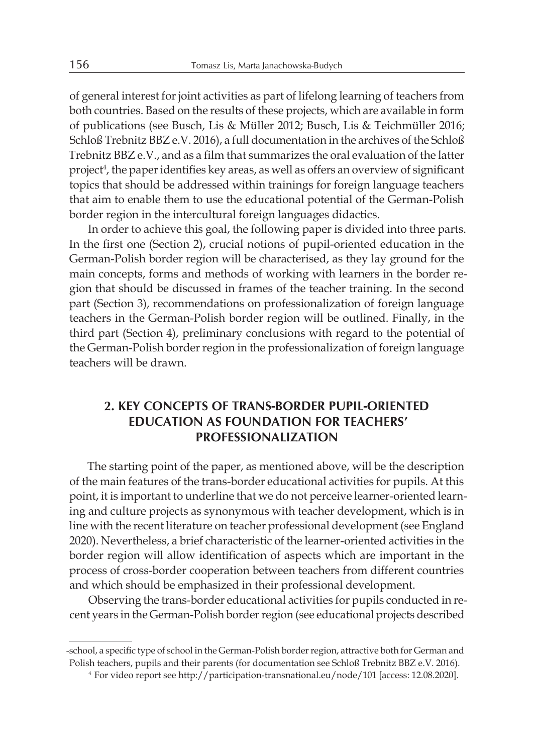of general interest for joint activities as part of lifelong learning of teachers from both countries. Based on the results of these projects, which are available in form of publications (see Busch, Lis & Müller 2012; Busch, Lis & Teichmüller 2016; Schloß Trebnitz BBZ e.V. 2016), a full documentation in the archives of the Schloß Trebnitz BBZ e.V., and as a film that summarizes the oral evaluation of the latter project<sup>4</sup>, the paper identifies key areas, as well as offers an overview of significant topics that should be addressed within trainings for foreign language teachers that aim to enable them to use the educational potential of the German-Polish border region in the intercultural foreign languages didactics.

In order to achieve this goal, the following paper is divided into three parts. In the first one (Section 2), crucial notions of pupil-oriented education in the German-Polish border region will be characterised, as they lay ground for the main concepts, forms and methods of working with learners in the border region that should be discussed in frames of the teacher training. In the second part (Section 3), recommendations on professionalization of foreign language teachers in the German-Polish border region will be outlined. Finally, in the third part (Section 4), preliminary conclusions with regard to the potential of the German-Polish border region in the professionalization of foreign language teachers will be drawn.

#### **2. KEY CONCEPTS OF TRANS-BORDER PUPIL-ORIENTED EDUCATION AS FOUNDATION FOR TEACHERS' PROFESSIONALIZATION**

The starting point of the paper, as mentioned above, will be the description of the main features of the trans-border educational activities for pupils. At this point, it is important to underline that we do not perceive learner-oriented learning and culture projects as synonymous with teacher development, which is in line with the recent literature on teacher professional development (see England 2020). Nevertheless, a brief characteristic of the learner-oriented activities in the border region will allow identification of aspects which are important in the process of cross-border cooperation between teachers from different countries and which should be emphasized in their professional development.

Observing the trans-border educational activities for pupils conducted in recent years in the German-Polish border region (see educational projects described

<sup>-</sup>school, a specific type of school in the German-Polish border region, attractive both for German and Polish teachers, pupils and their parents (for documentation see Schloß Trebnitz BBZ e.V. 2016).

<sup>4</sup> For video report see http://participation-transnational.eu/node/101 [access: 12.08.2020].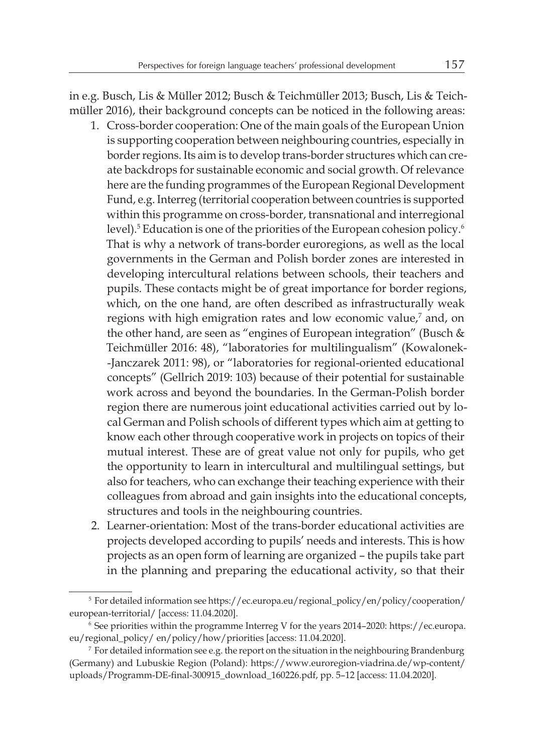in e.g. Busch, Lis & Müller 2012; Busch & Teichmüller 2013; Busch, Lis & Teichmüller 2016), their background concepts can be noticed in the following areas:

- 1. Cross-border cooperation: One of the main goals of the European Union is supporting cooperation between neighbouring countries, especially in border regions. Its aim is to develop trans-border structures which can create backdrops for sustainable economic and social growth. Of relevance here are the funding programmes of the European Regional Development Fund, e.g. Interreg (territorial cooperation between countries is supported within this programme on cross-border, transnational and interregional level).<sup>5</sup> Education is one of the priorities of the European cohesion policy.<sup>6</sup> That is why a network of trans-border euroregions, as well as the local governments in the German and Polish border zones are interested in developing intercultural relations between schools, their teachers and pupils. These contacts might be of great importance for border regions, which, on the one hand, are often described as infrastructurally weak regions with high emigration rates and low economic value,<sup>7</sup> and, on the other hand, are seen as "engines of European integration" (Busch & Teichmüller 2016: 48), "laboratories for multilingualism" (Kowalonek- -Janczarek 2011: 98), or "laboratories for regional-oriented educational concepts" (Gellrich 2019: 103) because of their potential for sustainable work across and beyond the boundaries. In the German-Polish border region there are numerous joint educational activities carried out by local German and Polish schools of different types which aim at getting to know each other through cooperative work in projects on topics of their mutual interest. These are of great value not only for pupils, who get the opportunity to learn in intercultural and multilingual settings, but also for teachers, who can exchange their teaching experience with their colleagues from abroad and gain insights into the educational concepts, structures and tools in the neighbouring countries.
- 2. Learner-orientation: Most of the trans-border educational activities are projects developed according to pupils' needs and interests. This is how projects as an open form of learning are organized – the pupils take part in the planning and preparing the educational activity, so that their

<sup>5</sup> For detailed information see https://ec.europa.eu/regional\_policy/en/policy/cooperation/ european-territorial/ [access: 11.04.2020].

<sup>6</sup> See priorities within the programme Interreg V for the years 2014–2020: https://ec.europa. eu/regional\_policy/ en/policy/how/priorities [access: 11.04.2020].

 $<sup>7</sup>$  For detailed information see e.g. the report on the situation in the neighbouring Brandenburg</sup> (Germany) and Lubuskie Region (Poland): https://www.euroregion-viadrina.de/wp-content/ uploads/Programm-DE-final-300915\_download\_160226.pdf, pp. 5–12 [access: 11.04.2020].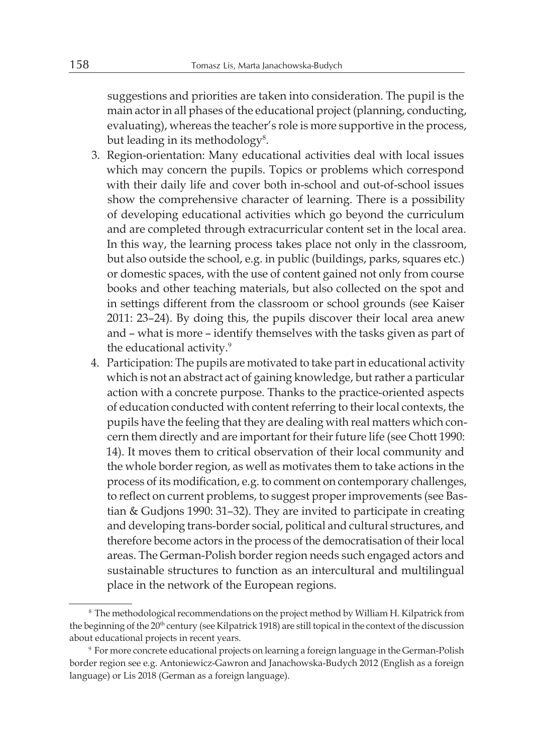suggestions and priorities are taken into consideration. The pupil is the main actor in all phases of the educational project (planning, conducting, evaluating), whereas the teacher's role is more supportive in the process, but leading in its methodology $^{8}$ .

- 3. Region-orientation: Many educational activities deal with local issues which may concern the pupils. Topics or problems which correspond with their daily life and cover both in-school and out-of-school issues show the comprehensive character of learning. There is a possibility of developing educational activities which go beyond the curriculum and are completed through extracurricular content set in the local area. In this way, the learning process takes place not only in the classroom, but also outside the school, e.g. in public (buildings, parks, squares etc.) or domestic spaces, with the use of content gained not only from course books and other teaching materials, but also collected on the spot and in settings different from the classroom or school grounds (see Kaiser 2011: 23–24). By doing this, the pupils discover their local area anew and – what is more – identify themselves with the tasks given as part of the educational activity.9
- 4. Participation: The pupils are motivated to take part in educational activity which is not an abstract act of gaining knowledge, but rather a particular action with a concrete purpose. Thanks to the practice-oriented aspects of education conducted with content referring to their local contexts, the pupils have the feeling that they are dealing with real matters which concern them directly and are important for their future life (see Chott 1990: 14). It moves them to critical observation of their local community and the whole border region, as well as motivates them to take actions in the process of its modification, e.g. to comment on contemporary challenges, to reflect on current problems, to suggest proper improvements (see Bastian & Gudjons 1990: 31–32). They are invited to participate in creating and developing trans-border social, political and cultural structures, and therefore become actors in the process of the democratisation of their local areas. The German-Polish border region needs such engaged actors and sustainable structures to function as an intercultural and multilingual place in the network of the European regions.

<sup>8</sup> The methodological recommendations on the project method by William H. Kilpatrick from the beginning of the 20th century (see Kilpatrick 1918) are still topical in the context of the discussion about educational projects in recent years.

<sup>9</sup> For more concrete educational projects on learning a foreign language in the German-Polish border region see e.g. Antoniewicz-Gawron and Janachowska-Budych 2012 (English as a foreign language) or Lis 2018 (German as a foreign language).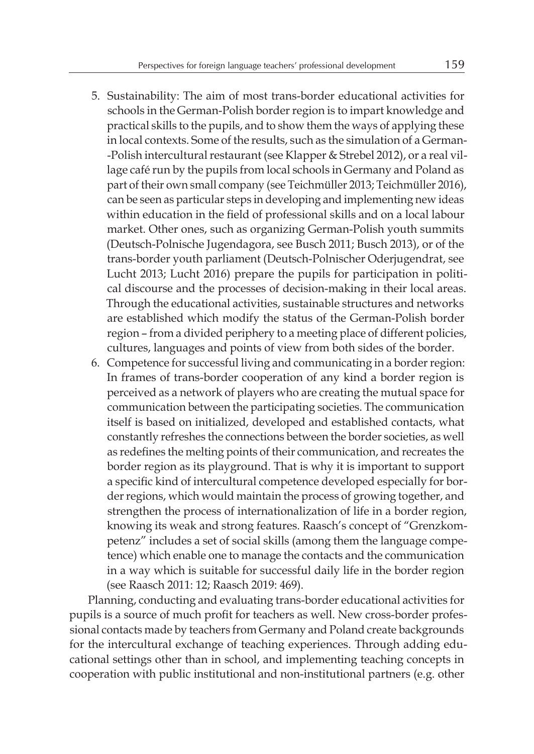- 5. Sustainability: The aim of most trans-border educational activities for schools in the German-Polish border region is to impart knowledge and practical skills to the pupils, and to show them the ways of applying these in local contexts. Some of the results, such as the simulation of a German- -Polish intercultural restaurant (see Klapper & Strebel 2012), or a real village café run by the pupils from local schools in Germany and Poland as part of their own small company (see Teichmüller 2013; Teichmüller 2016), can be seen as particular steps in developing and implementing new ideas within education in the field of professional skills and on a local labour market. Other ones, such as organizing German-Polish youth summits (Deutsch-Polnische Jugendagora, see Busch 2011; Busch 2013), or of the trans-border youth parliament (Deutsch-Polnischer Oderjugendrat, see Lucht 2013; Lucht 2016) prepare the pupils for participation in political discourse and the processes of decision-making in their local areas. Through the educational activities, sustainable structures and networks are established which modify the status of the German-Polish border region – from a divided periphery to a meeting place of different policies, cultures, languages and points of view from both sides of the border.
- 6. Competence for successful living and communicating in a border region: In frames of trans-border cooperation of any kind a border region is perceived as a network of players who are creating the mutual space for communication between the participating societies. The communication itself is based on initialized, developed and established contacts, what constantly refreshes the connections between the border societies, as well as redefines the melting points of their communication, and recreates the border region as its playground. That is why it is important to support a specific kind of intercultural competence developed especially for border regions, which would maintain the process of growing together, and strengthen the process of internationalization of life in a border region, knowing its weak and strong features. Raasch's concept of "Grenzkompetenz" includes a set of social skills (among them the language competence) which enable one to manage the contacts and the communication in a way which is suitable for successful daily life in the border region (see Raasch 2011: 12; Raasch 2019: 469).

Planning, conducting and evaluating trans-border educational activities for pupils is a source of much profit for teachers as well. New cross-border professional contacts made by teachers from Germany and Poland create backgrounds for the intercultural exchange of teaching experiences. Through adding educational settings other than in school, and implementing teaching concepts in cooperation with public institutional and non-institutional partners (e.g. other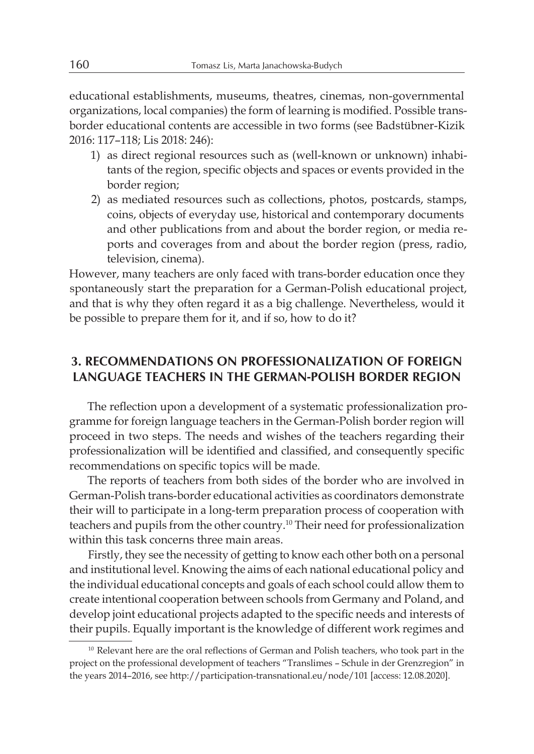educational establishments, museums, theatres, cinemas, non-governmental organizations, local companies) the form of learning is modified. Possible transborder educational contents are accessible in two forms (see Badstübner-Kizik 2016: 117–118; Lis 2018: 246):

- 1) as direct regional resources such as (well-known or unknown) inhabitants of the region, specific objects and spaces or events provided in the border region;
- 2) as mediated resources such as collections, photos, postcards, stamps, coins, objects of everyday use, historical and contemporary documents and other publications from and about the border region, or media reports and coverages from and about the border region (press, radio, television, cinema).

However, many teachers are only faced with trans-border education once they spontaneously start the preparation for a German-Polish educational project, and that is why they often regard it as a big challenge. Nevertheless, would it be possible to prepare them for it, and if so, how to do it?

#### **3. RECOMMENDATIONS ON PROFESSIONALIZATION OF FOREIGN LANGUAGE TEACHERS IN THE GERMAN-POLISH BORDER REGION**

The reflection upon a development of a systematic professionalization programme for foreign language teachers in the German-Polish border region will proceed in two steps. The needs and wishes of the teachers regarding their professionalization will be identified and classified, and consequently specific recommendations on specific topics will be made.

The reports of teachers from both sides of the border who are involved in German-Polish trans-border educational activities as coordinators demonstrate their will to participate in a long-term preparation process of cooperation with teachers and pupils from the other country.10 Their need for professionalization within this task concerns three main areas.

Firstly, they see the necessity of getting to know each other both on a personal and institutional level. Knowing the aims of each national educational policy and the individual educational concepts and goals of each school could allow them to create intentional cooperation between schools from Germany and Poland, and develop joint educational projects adapted to the specific needs and interests of their pupils. Equally important is the knowledge of different work regimes and

<sup>&</sup>lt;sup>10</sup> Relevant here are the oral reflections of German and Polish teachers, who took part in the project on the professional development of teachers "Translimes – Schule in der Grenzregion" in the years 2014–2016, see http://participation-transnational.eu/node/101 [access: 12.08.2020].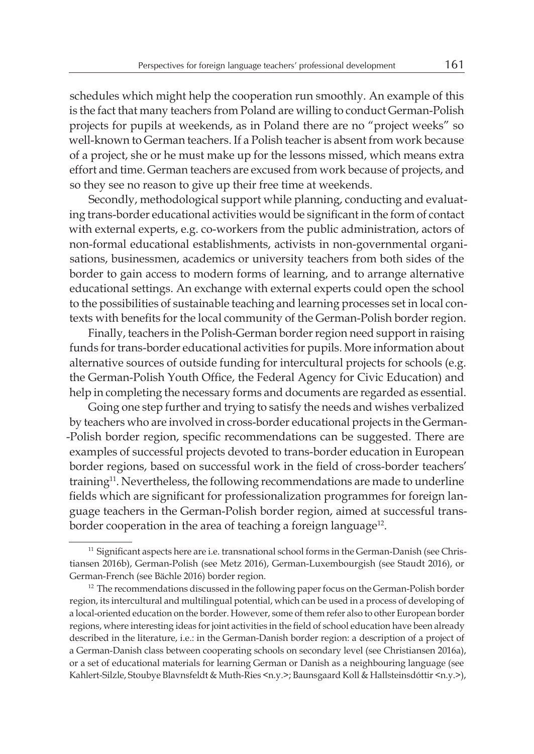schedules which might help the cooperation run smoothly. An example of this is the fact that many teachers from Poland are willing to conduct German-Polish projects for pupils at weekends, as in Poland there are no "project weeks" so well-known to German teachers. If a Polish teacher is absent from work because of a project, she or he must make up for the lessons missed, which means extra effort and time. German teachers are excused from work because of projects, and so they see no reason to give up their free time at weekends.

Secondly, methodological support while planning, conducting and evaluating trans-border educational activities would be significant in the form of contact with external experts, e.g. co-workers from the public administration, actors of non-formal educational establishments, activists in non-governmental organisations, businessmen, academics or university teachers from both sides of the border to gain access to modern forms of learning, and to arrange alternative educational settings. An exchange with external experts could open the school to the possibilities of sustainable teaching and learning processes set in local contexts with benefits for the local community of the German-Polish border region.

Finally, teachers in the Polish-German border region need support in raising funds for trans-border educational activities for pupils. More information about alternative sources of outside funding for intercultural projects for schools (e.g. the German-Polish Youth Office, the Federal Agency for Civic Education) and help in completing the necessary forms and documents are regarded as essential.

Going one step further and trying to satisfy the needs and wishes verbalized by teachers who are involved in cross-border educational projects in the German- -Polish border region, specific recommendations can be suggested. There are examples of successful projects devoted to trans-border education in European border regions, based on successful work in the field of cross-border teachers' training<sup>11</sup>. Nevertheless, the following recommendations are made to underline fields which are significant for professionalization programmes for foreign language teachers in the German-Polish border region, aimed at successful transborder cooperation in the area of teaching a foreign language<sup>12</sup>.

<sup>&</sup>lt;sup>11</sup> Significant aspects here are i.e. transnational school forms in the German-Danish (see Christiansen 2016b), German-Polish (see Metz 2016), German-Luxembourgish (see Staudt 2016), or German-French (see Bächle 2016) border region.

<sup>&</sup>lt;sup>12</sup> The recommendations discussed in the following paper focus on the German-Polish border region, its intercultural and multilingual potential, which can be used in a process of developing of a local-oriented education on the border. However, some of them refer also to other European border regions, where interesting ideas for joint activities in the field of school education have been already described in the literature, i.e.: in the German-Danish border region: a description of a project of a German-Danish class between cooperating schools on secondary level (see Christiansen 2016a), or a set of educational materials for learning German or Danish as a neighbouring language (see Kahlert-Silzle, Stoubye Blavnsfeldt & Muth-Ries <n.y.>; Baunsgaard Koll & Hallsteinsdóttir <n.y.>),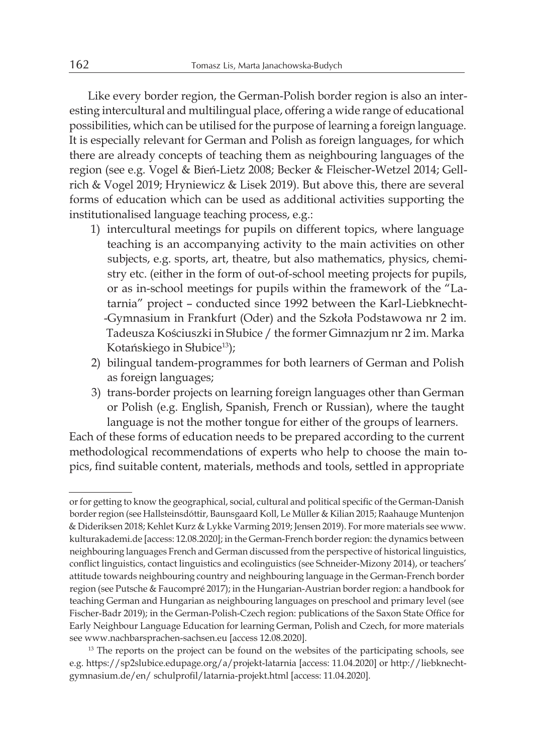Like every border region, the German-Polish border region is also an interesting intercultural and multilingual place, offering a wide range of educational possibilities, which can be utilised for the purpose of learning a foreign language. It is especially relevant for German and Polish as foreign languages, for which there are already concepts of teaching them as neighbouring languages of the region (see e.g. Vogel & Bień-Lietz 2008; Becker & Fleischer-Wetzel 2014; Gellrich & Vogel 2019; Hryniewicz & Lisek 2019). But above this, there are several forms of education which can be used as additional activities supporting the institutionalised language teaching process, e.g.:

- 1) intercultural meetings for pupils on different topics, where language teaching is an accompanying activity to the main activities on other subjects, e.g. sports, art, theatre, but also mathematics, physics, chemistry etc. (either in the form of out-of-school meeting projects for pupils, or as in-school meetings for pupils within the framework of the "Latarnia" project – conducted since 1992 between the Karl-Liebknecht- -Gymnasium in Frankfurt (Oder) and the Szkoła Podstawowa nr 2 im. Tadeusza Kościuszki in Słubice / the former Gimnazjum nr 2 im. Marka Kotańskiego in Słubice<sup>13</sup>);
- 2) bilingual tandem-programmes for both learners of German and Polish as foreign languages;
- 3) trans-border projects on learning foreign languages other than German or Polish (e.g. English, Spanish, French or Russian), where the taught language is not the mother tongue for either of the groups of learners.

Each of these forms of education needs to be prepared according to the current methodological recommendations of experts who help to choose the main topics, find suitable content, materials, methods and tools, settled in appropriate

or for getting to know the geographical, social, cultural and political specific of the German-Danish border region (see Hallsteinsdóttir, Baunsgaard Koll, Le Müller & Kilian 2015; Raahauge Muntenjon & Dideriksen 2018; Kehlet Kurz & Lykke Varming 2019; Jensen 2019). For more materials see www. kulturakademi.de [access: 12.08.2020]; in the German-French border region: the dynamics between neighbouring languages French and German discussed from the perspective of historical linguistics, conflict linguistics, contact linguistics and ecolinguistics (see Schneider-Mizony 2014), or teachers' attitude towards neighbouring country and neighbouring language in the German-French border region (see Putsche & Faucompré 2017); in the Hungarian-Austrian border region: a handbook for teaching German and Hungarian as neighbouring languages on preschool and primary level (see Fischer-Badr 2019); in the German-Polish-Czech region: publications of the Saxon State Office for Early Neighbour Language Education for learning German, Polish and Czech, for more materials see www.nachbarsprachen-sachsen.eu [access 12.08.2020].

<sup>&</sup>lt;sup>13</sup> The reports on the project can be found on the websites of the participating schools, see e.g. https://sp2slubice.edupage.org/a/projekt-latarnia [access: 11.04.2020] or http://liebknechtgymnasium.de/en/ schulprofil/latarnia-projekt.html [access: 11.04.2020].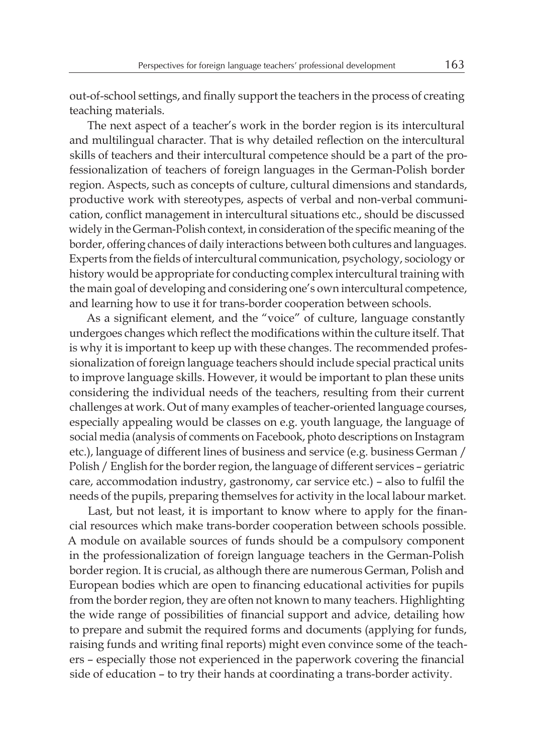out-of-school settings, and finally support the teachers in the process of creating teaching materials.

The next aspect of a teacher's work in the border region is its intercultural and multilingual character. That is why detailed reflection on the intercultural skills of teachers and their intercultural competence should be a part of the professionalization of teachers of foreign languages in the German-Polish border region. Aspects, such as concepts of culture, cultural dimensions and standards, productive work with stereotypes, aspects of verbal and non-verbal communication, conflict management in intercultural situations etc., should be discussed widely in the German-Polish context, in consideration of the specific meaning of the border, offering chances of daily interactions between both cultures and languages. Experts from the fields of intercultural communication, psychology, sociology or history would be appropriate for conducting complex intercultural training with the main goal of developing and considering one's own intercultural competence, and learning how to use it for trans-border cooperation between schools.

As a significant element, and the "voice" of culture, language constantly undergoes changes which reflect the modifications within the culture itself. That is why it is important to keep up with these changes. The recommended professionalization of foreign language teachers should include special practical units to improve language skills. However, it would be important to plan these units considering the individual needs of the teachers, resulting from their current challenges at work. Out of many examples of teacher-oriented language courses, especially appealing would be classes on e.g. youth language, the language of social media (analysis of comments on Facebook, photo descriptions on Instagram etc.), language of different lines of business and service (e.g. business German / Polish / English for the border region, the language of different services – geriatric care, accommodation industry, gastronomy, car service etc.) – also to fulfil the needs of the pupils, preparing themselves for activity in the local labour market.

Last, but not least, it is important to know where to apply for the financial resources which make trans-border cooperation between schools possible. A module on available sources of funds should be a compulsory component in the professionalization of foreign language teachers in the German-Polish border region. It is crucial, as although there are numerous German, Polish and European bodies which are open to financing educational activities for pupils from the border region, they are often not known to many teachers. Highlighting the wide range of possibilities of financial support and advice, detailing how to prepare and submit the required forms and documents (applying for funds, raising funds and writing final reports) might even convince some of the teachers – especially those not experienced in the paperwork covering the financial side of education – to try their hands at coordinating a trans-border activity.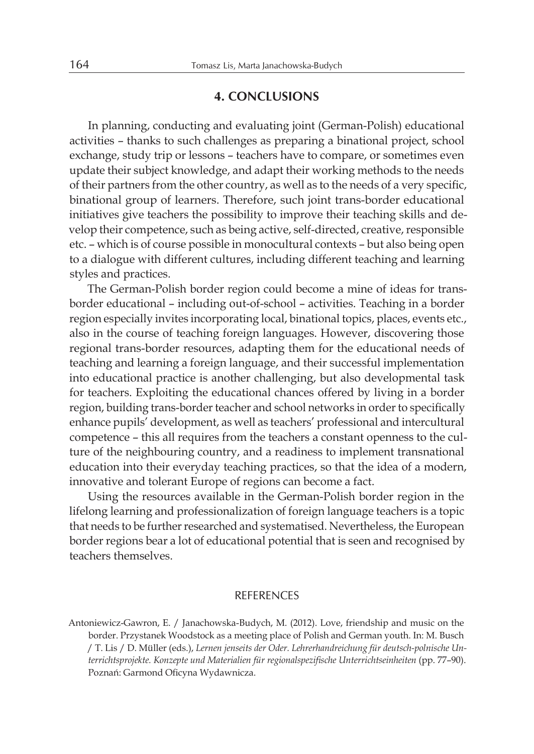#### **4. CONCLUSIONS**

In planning, conducting and evaluating joint (German-Polish) educational activities – thanks to such challenges as preparing a binational project, school exchange, study trip or lessons – teachers have to compare, or sometimes even update their subject knowledge, and adapt their working methods to the needs of their partners from the other country, as well as to the needs of a very specific, binational group of learners. Therefore, such joint trans-border educational initiatives give teachers the possibility to improve their teaching skills and develop their competence, such as being active, self-directed, creative, responsible etc. – which is of course possible in monocultural contexts – but also being open to a dialogue with different cultures, including different teaching and learning styles and practices.

The German-Polish border region could become a mine of ideas for transborder educational – including out-of-school – activities. Teaching in a border region especially invites incorporating local, binational topics, places, events etc., also in the course of teaching foreign languages. However, discovering those regional trans-border resources, adapting them for the educational needs of teaching and learning a foreign language, and their successful implementation into educational practice is another challenging, but also developmental task for teachers. Exploiting the educational chances offered by living in a border region, building trans-border teacher and school networks in order to specifically enhance pupils' development, as well as teachers' professional and intercultural competence – this all requires from the teachers a constant openness to the culture of the neighbouring country, and a readiness to implement transnational education into their everyday teaching practices, so that the idea of a modern, innovative and tolerant Europe of regions can become a fact.

Using the resources available in the German-Polish border region in the lifelong learning and professionalization of foreign language teachers is a topic that needs to be further researched and systematised. Nevertheless, the European border regions bear a lot of educational potential that is seen and recognised by teachers themselves.

#### **REFERENCES**

Antoniewicz-Gawron, E. / Janachowska-Budych, M. (2012). Love, friendship and music on the border. Przystanek Woodstock as a meeting place of Polish and German youth. In: M. Busch / T. Lis / D. Müller (eds.), *Lernen jenseits der Oder. Lehrerhandreichung für deutsch-polnische Unterrichtsprojekte. Konzepte und Materialien für regionalspezifische Unterrichtseinheiten* (pp. 77–90). Poznań: Garmond Oficyna Wydawnicza.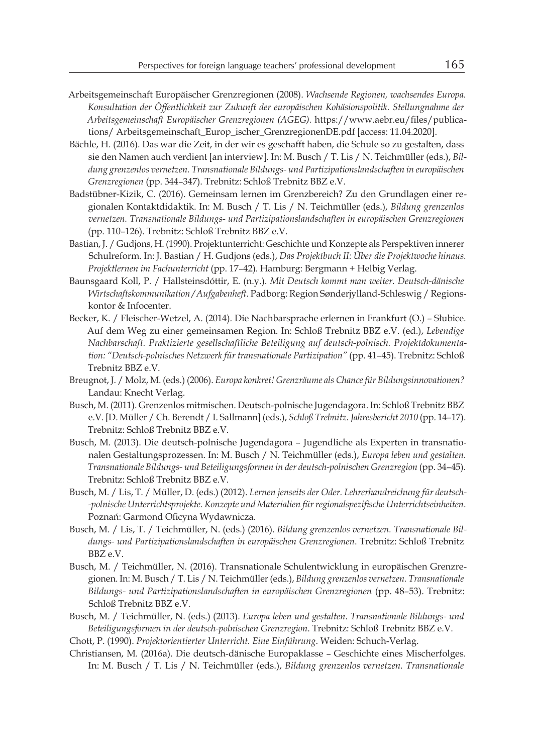- Arbeitsgemeinschaft Europäischer Grenzregionen (2008). *Wachsende Regionen, wachsendes Europa. Konsultation der Öffentlichkeit zur Zukunft der europäischen Kohäsionspolitik. Stellungnahme der Arbeitsgemeinschaft Europäischer Grenzregionen (AGEG).* https://www.aebr.eu/files/publications/ Arbeitsgemeinschaft\_Europ\_ischer\_GrenzregionenDE.pdf [access: 11.04.2020].
- Bächle, H. (2016). Das war die Zeit, in der wir es geschafft haben, die Schule so zu gestalten, dass sie den Namen auch verdient [an interview]. In: M. Busch / T. Lis / N. Teichmüller (eds.), *Bildung grenzenlos vernetzen. Transnationale Bildungs- und Partizipationslandschaften in europäischen Grenzregionen* (pp. 344–347). Trebnitz: Schloß Trebnitz BBZ e.V.
- Badstübner-Kizik, C. (2016). Gemeinsam lernen im Grenzbereich? Zu den Grundlagen einer regionalen Kontaktdidaktik. In: M. Busch / T. Lis / N. Teichmüller (eds.), *Bildung grenzenlos vernetzen. Transnationale Bildungs- und Partizipationslandschaften in europäischen Grenzregionen* (pp. 110–126). Trebnitz: Schloß Trebnitz BBZ e.V.
- Bastian, J. / Gudjons, H. (1990). Projektunterricht: Geschichte und Konzepte als Perspektiven innerer Schulreform. In: J. Bastian / H. Gudjons (eds.), *Das Projektbuch II: Über die Projektwoche hinaus. Projektlernen im Fachunterricht* (pp. 17–42). Hamburg: Bergmann + Helbig Verlag.
- Baunsgaard Koll, P. / Hallsteinsdóttir, E. (n.y.). *Mit Deutsch kommt man weiter. Deutsch-dänische Wirtschaftskommunikation / Aufgabenheft*. Padborg: Region Sønderjylland-Schleswig / Regionskontor & Infocenter.
- Becker, K. / Fleischer-Wetzel, A. (2014). Die Nachbarsprache erlernen in Frankfurt (O.) Słubice. Auf dem Weg zu einer gemeinsamen Region. In: Schloß Trebnitz BBZ e.V. (ed.), *Lebendige Nachbarschaft. Praktizierte gesellschaftliche Beteiligung auf deutsch-polnisch. Projektdokumentation: "Deutsch-polnisches Netzwerk für transnationale Partizipation"* (pp. 41–45). Trebnitz: Schloß Trebnitz BBZ e.V.
- Breugnot, J. / Molz, M. (eds.) (2006). *Europa konkret! Grenzräume als Chance für Bildungsinnovationen?* Landau: Knecht Verlag.
- Busch, M. (2011). Grenzenlos mitmischen. Deutsch-polnische Jugendagora. In: Schloß Trebnitz BBZ e.V. [D. Müller / Ch. Berendt / I. Sallmann] (eds.), *Schloß Trebnitz. Jahresbericht 2010* (pp. 14–17). Trebnitz: Schloß Trebnitz BBZ e.V.
- Busch, M. (2013). Die deutsch-polnische Jugendagora Jugendliche als Experten in transnationalen Gestaltungsprozessen. In: M. Busch / N. Teichmüller (eds.), *Europa leben und gestalten. Transnationale Bildungs- und Beteiligungsformen in der deutsch-polnischen Grenzregion* (pp. 34–45). Trebnitz: Schloß Trebnitz BBZ e.V.
- Busch, M. / Lis, T. / Müller, D. (eds.) (2012). *Lernen jenseits der Oder. Lehrerhandreichung für deutsch- -polnische Unterrichtsprojekte. Konzepte und Materialien fürregionalspezifische Unterrichtseinheiten*. Poznań: Garmond Oficyna Wydawnicza.
- Busch, M. / Lis, T. / Teichmüller, N. (eds.) (2016). *Bildung grenzenlos vernetzen. Transnationale Bildungs- und Partizipationslandschaften in europäischen Grenzregionen*. Trebnitz: Schloß Trebnitz BBZ e.V.
- Busch, M. / Teichmüller, N. (2016). Transnationale Schulentwicklung in europäischen Grenzregionen. In: M. Busch / T. Lis / N. Teichmüller (eds.), *Bildung grenzenlos vernetzen. Transnationale Bildungs- und Partizipationslandschaften in europäischen Grenzregionen* (pp. 48–53). Trebnitz: Schloß Trebnitz BBZ e.V.
- Busch, M. / Teichmüller, N. (eds.) (2013). *Europa leben und gestalten. Transnationale Bildungs- und Beteiligungsformen in der deutsch-polnischen Grenzregion*. Trebnitz: Schloß Trebnitz BBZ e.V.
- Chott, P. (1990). *Projektorientierter Unterricht. Eine Einführung*. Weiden: Schuch-Verlag.
- Christiansen, M. (2016a). Die deutsch-dänische Europaklasse Geschichte eines Mischerfolges. In: M. Busch / T. Lis / N. Teichmüller (eds.), *Bildung grenzenlos vernetzen. Transnationale*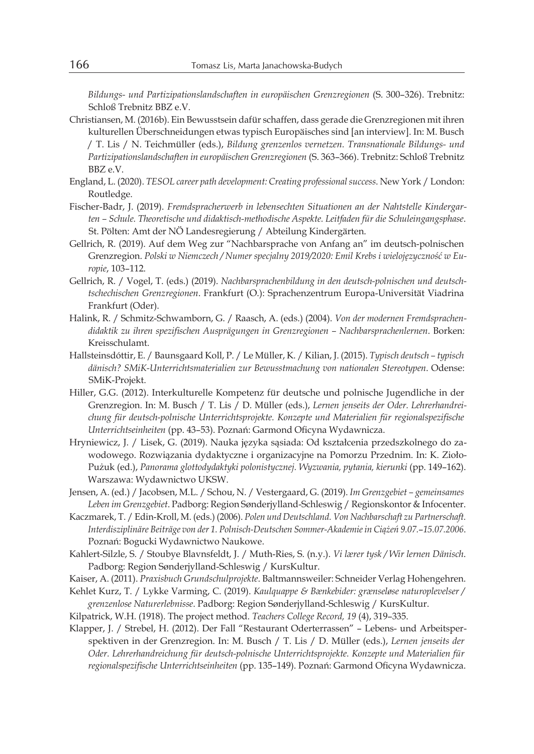*Bildungs- und Partizipationslandschaften in europäischen Grenzregionen* (S. 300–326). Trebnitz: Schloß Trebnitz BBZ e.V.

- Christiansen, M. (2016b). Ein Bewusstsein dafür schaffen, dass gerade die Grenzregionen mit ihren kulturellen Überschneidungen etwas typisch Europäisches sind [an interview]. In: M. Busch / T. Lis / N. Teichmüller (eds.), *Bildung grenzenlos vernetzen. Transnationale Bildungs- und Partizipationslandschaften in europäischen Grenzregionen* (S. 363–366). Trebnitz: Schloß Trebnitz BBZ e.V.
- England, L. (2020). *TESOL career path development: Creating professional success*. New York / London: Routledge.
- Fischer-Badr, J. (2019). *Fremdspracherwerb in lebensechten Situationen an der Nahtstelle Kindergarten – Schule. Theoretische und didaktisch-methodische Aspekte. Leitfaden für die Schuleingangsphase*. St. Pölten: Amt der NÖ Landesregierung / Abteilung Kindergärten.
- Gellrich, R. (2019). Auf dem Weg zur "Nachbarsprache von Anfang an" im deutsch-polnischen Grenzregion. *Polski w Niemczech / Numer specjalny 2019/2020: Emil Krebs i wielojęzyczność w Europie*, 103–112.
- Gellrich, R. / Vogel, T. (eds.) (2019). *Nachbarsprachenbildung in den deutsch-polnischen und deutschtschechischen Grenzregionen*. Frankfurt (O.): Sprachenzentrum Europa-Universität Viadrina Frankfurt (Oder).
- Halink, R. / Schmitz-Schwamborn, G. / Raasch, A. (eds.) (2004). *Von der modernen Fremdsprachendidaktik zu ihren spezifischen Ausprägungen in Grenzregionen – Nachbarsprachenlernen*. Borken: Kreisschulamt.
- Hallsteinsdóttir, E. / Baunsgaard Koll, P. / Le Müller, K. / Kilian, J. (2015). *Typisch deutsch typisch dänisch? SMiK-Unterrichtsmaterialien zur Bewusstmachung von nationalen Stereotypen*. Odense: SMiK-Projekt.
- Hiller, G.G. (2012). Interkulturelle Kompetenz für deutsche und polnische Jugendliche in der Grenzregion. In: M. Busch / T. Lis / D. Müller (eds.), *Lernen jenseits der Oder. Lehrerhandreichung für deutsch-polnische Unterrichtsprojekte. Konzepte und Materialien für regionalspezifische Unterrichtseinheiten* (pp. 43–53). Poznań: Garmond Oficyna Wydawnicza.
- Hryniewicz, J. / Lisek, G. (2019). Nauka języka sąsiada: Od kształcenia przedszkolnego do zawodowego. Rozwiązania dydaktyczne i organizacyjne na Pomorzu Przednim. In: K. Zioło-Pużuk (ed.), *Panorama glottodydaktyki polonistycznej. Wyzwania, pytania, kierunki* (pp. 149–162). Warszawa: Wydawnictwo UKSW.
- Jensen, A. (ed.) / Jacobsen, M.L. / Schou, N. / Vestergaard, G. (2019). *Im Grenzgebiet gemeinsames Leben im Grenzgebiet*. Padborg: Region Sønderjylland-Schleswig / Regionskontor & Infocenter.
- Kaczmarek, T. / Edin-Kroll, M. (eds.) (2006). *Polen und Deutschland. Von Nachbarschaft zu Partnerschaft. Interdisziplinäre Beiträge von der 1. Polnisch-Deutschen Sommer-Akademiein Ciążeń 9.07.*–*15.07.2006*. Poznań: Bogucki Wydawnictwo Naukowe.
- Kahlert-Silzle, S. / Stoubye Blavnsfeldt, J. / Muth-Ries, S. (n.y.). *Vi lærer tysk / Wir lernen Dänisch*. Padborg: Region Sønderjylland-Schleswig / KursKultur.
- Kaiser, A. (2011). *Praxisbuch Grundschulprojekte*. Baltmannsweiler: Schneider Verlag Hohengehren.

Kehlet Kurz, T. / Lykke Varming, C. (2019). *Kaulquappe & Bænkebider: grænseløse naturoplevelser / grenzenlose Naturerlebnisse*. Padborg: Region Sønderjylland-Schleswig / KursKultur.

- Kilpatrick, W.H. (1918). The project method. *Teachers College Record, 19* (4), 319–335.
- Klapper, J. / Strebel, H. (2012). Der Fall "Restaurant Oderterrassen" Lebens- und Arbeitsperspektiven in der Grenzregion. In: M. Busch / T. Lis / D. Müller (eds.), *Lernen jenseits der Oder. Lehrerhandreichung für deutsch-polnische Unterrichtsprojekte. Konzepte und Materialien für regionalspezifische Unterrichtseinheiten* (pp. 135–149). Poznań: Garmond Oficyna Wydawnicza.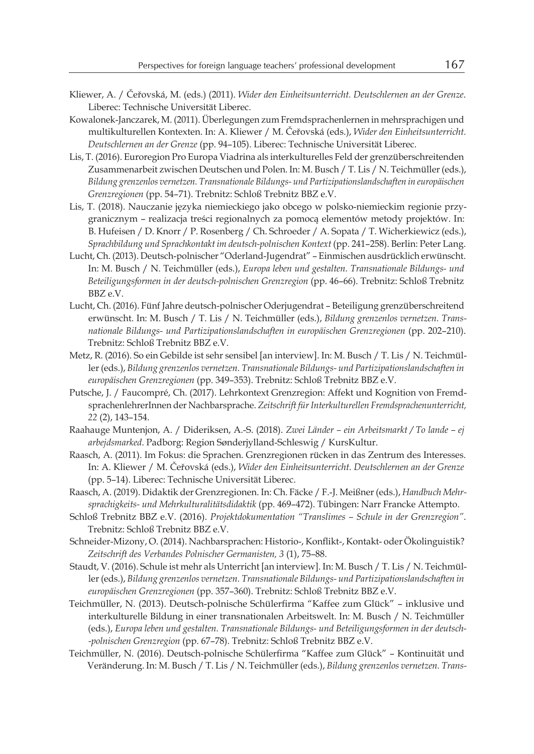- Kliewer, A. / Čeřovská, M. (eds.) (2011). *Wider den Einheitsunterricht. Deutschlernen an der Grenze*. Liberec: Technische Universität Liberec.
- Kowalonek-Janczarek, M. (2011). Überlegungen zum Fremdsprachenlernen in mehrsprachigen und multikulturellen Kontexten. In: A. Kliewer / M. Čeřovská (eds.), *Wider den Einheitsunterricht. Deutschlernen an der Grenze* (pp. 94–105). Liberec: Technische Universität Liberec.
- Lis, T. (2016). Euroregion Pro Europa Viadrina als interkulturelles Feld der grenzüberschreitenden Zusammenarbeit zwischen Deutschen und Polen. In: M. Busch / T. Lis / N. Teichmüller (eds.), *Bildung grenzenlos vernetzen. Transnationale Bildungs- und Partizipationslandschaften in europäischen Grenzregionen* (pp. 54–71). Trebnitz: Schloß Trebnitz BBZ e.V.
- Lis, T. (2018). Nauczanie języka niemieckiego jako obcego w polsko-niemieckim regionie przygranicznym – realizacja treści regionalnych za pomocą elementów metody projektów. In: B. Hufeisen / D. Knorr / P. Rosenberg / Ch. Schroeder / A. Sopata / T. Wicherkiewicz (eds.), *Sprachbildung und Sprachkontakt im deutsch-polnischen Kontext* (pp. 241–258). Berlin: Peter Lang.
- Lucht, Ch. (2013). Deutsch-polnischer "Oderland-Jugendrat" Einmischen ausdrücklich erwünscht. In: M. Busch / N. Teichmüller (eds.), *Europa leben und gestalten. Transnationale Bildungs- und Beteiligungsformen in der deutsch-polnischen Grenzregion* (pp. 46–66). Trebnitz: Schloß Trebnitz BBZ e.V.
- Lucht, Ch. (2016). Fünf Jahre deutsch-polnischer Oderjugendrat Beteiligung grenzüberschreitend erwünscht. In: M. Busch / T. Lis / N. Teichmüller (eds.), *Bildung grenzenlos vernetzen. Transnationale Bildungs- und Partizipationslandschaften in europäischen Grenzregionen* (pp. 202–210). Trebnitz: Schloß Trebnitz BBZ e.V.
- Metz, R. (2016). So ein Gebilde ist sehr sensibel [an interview]. In: M. Busch / T. Lis / N. Teichmüller (eds.), *Bildung grenzenlos vernetzen. Transnationale Bildungs- und Partizipationslandschaften in europäischen Grenzregionen* (pp. 349–353). Trebnitz: Schloß Trebnitz BBZ e.V.
- Putsche, J. / Faucompré, Ch. (2017). Lehrkontext Grenzregion: Affekt und Kognition von FremdsprachenlehrerInnen der Nachbarsprache. *Zeitschrift für Interkulturellen Fremdsprachenunterricht, 22* (2), 143–154.
- Raahauge Muntenjon, A. / Dideriksen, A.-S. (2018). *Zwei Länder – ein Arbeitsmarkt / To lande – ej arbejdsmarked*. Padborg: Region Sønderjylland-Schleswig / KursKultur.
- Raasch, A. (2011). Im Fokus: die Sprachen. Grenzregionen rücken in das Zentrum des Interesses. In: A. Kliewer / M. Čeřovská (eds.), *Wider den Einheitsunterricht. Deutschlernen an der Grenze* (pp. 5–14). Liberec: Technische Universität Liberec.
- Raasch, A. (2019). Didaktik der Grenzregionen. In: Ch. Fäcke / F.-J. Meißner (eds.), *Handbuch Mehrsprachigkeits- und Mehrkulturalitätsdidaktik* (pp. 469–472). Tübingen: Narr Francke Attempto.
- Schloß Trebnitz BBZ e.V. (2016). *Projektdokumentation "Translimes – Schule in der Grenzregion"*. Trebnitz: Schloß Trebnitz BBZ e.V.
- Schneider-Mizony, O. (2014). Nachbarsprachen: Historio-, Konflikt-, Kontakt- oder Ökolinguistik? *Zeitschrift des Verbandes Polnischer Germanisten, 3* (1), 75–88.
- Staudt, V. (2016). Schule ist mehr als Unterricht [an interview]. In: M. Busch / T. Lis / N. Teichmüller (eds.), *Bildung grenzenlos vernetzen. Transnationale Bildungs- und Partizipationslandschaften in europäischen Grenzregionen* (pp. 357–360). Trebnitz: Schloß Trebnitz BBZ e.V.
- Teichmüller, N. (2013). Deutsch-polnische Schülerfirma "Kaffee zum Glück" inklusive und interkulturelle Bildung in einer transnationalen Arbeitswelt. In: M. Busch / N. Teichmüller (eds.), *Europa leben und gestalten. Transnationale Bildungs- und Beteiligungsformen in der deutsch- -polnischen Grenzregion* (pp. 67–78). Trebnitz: Schloß Trebnitz BBZ e.V.
- Teichmüller, N. (2016). Deutsch-polnische Schülerfirma "Kaffee zum Glück" Kontinuität und Veränderung. In: M. Busch / T. Lis / N. Teichmüller (eds.), *Bildung grenzenlos vernetzen. Trans-*